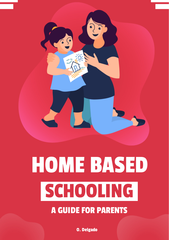

# HOME BASED SCHOOLING

#### A GUIDE FOR PARENTS

O. Delgado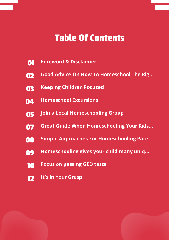## Table Of Contents

- **[01](#page-2-0) Foreword & [Disclaimer](#page-2-0)**
- **[02](#page-3-0) Good Advice On How To [Homeschool](#page-3-0) The Rig...**
- **[03](#page--1-0) Keeping [Children](#page--1-0) Focused**
- **[04](#page--1-1) [Homeschool](#page--1-1) Excursions**
- **[05](#page--1-2) Join a Local [Homeschooling](#page--1-2) Group**
- **[07](#page--1-3) Great Guide When [Homeschooling](#page--1-3) Your Kids...**
- **[08](#page--1-4) Simple Approaches For [Homeschooling](#page--1-4) Pare...**
- **[09](#page--1-5) [Homeschooling](#page--1-5) gives your child many uniq...**
- **[10](#page--1-6) Focus on [passing](#page--1-6) GED tests**
- **[12](#page--1-7) It's in Your [Grasp!](#page--1-7)**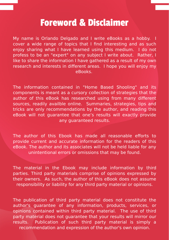### Foreword & Disclaimer

<span id="page-2-0"></span>My name is Orlando Delgado and I write eBooks as a hobby. I cover a wide range of topics that I find interesting and as such enjoy sharing what I have learned using this medium. I do not profess to be an "expert" on any subject I write about. Rather, I like to share the information I have gathered as a result of my own research and interests in different areas. I hope you will enjoy my eBooks.

The information contained in "Home Based Shooling" and its components is meant as a cursory collection of strategies that the author of this eBook has researched using from many different sources, readily availble online. Summaries, strategies, tips and tricks are only recommendations by the author, and reading this eBook will not guarantee that one's results will exactly provide any guaranteed results.

The author of this Ebook has made all reasonable efforts to provide current and accurate information for the readers of this eBook. The author and its associates will not be held liable for any unintentional errors or omissions that may be found.

Thе mаtеrіаl іn thе Ebооk mау іnсludе іnfоrmаtіоn bу thіrd parties. Third party materials comprise of opinions expressed by their owners. As such, the author of this eBook does not assume responsibility or liability for any third party material or opinions.

The publication of third party material does not constitute the author's guarantee of any information, products, services, or opinions contained within third party material. The use of third party material does not guarantee that your results will mirror our results. Publication of such third party material is simply a recommendation and expression of the author's own opinion.